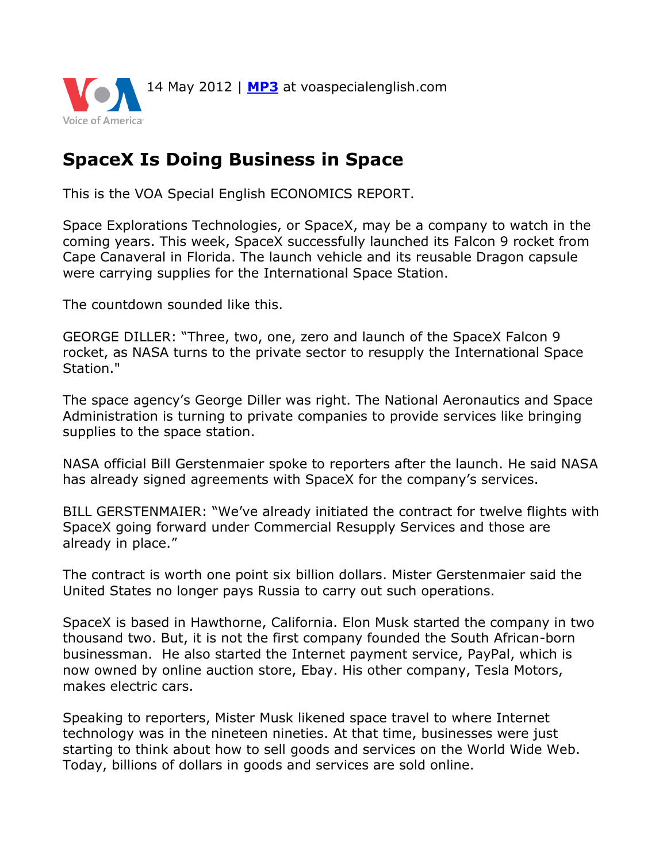

## **SpaceX Is Doing Business in Space**

This is the VOA Special English ECONOMICS REPORT.

Space Explorations Technologies, or SpaceX, may be a company to watch in the coming years. This week, SpaceX successfully launched its Falcon 9 rocket from Cape Canaveral in Florida. The launch vehicle and its reusable Dragon capsule were carrying supplies for the International Space Station.

The countdown sounded like this.

GEORGE DILLER: "Three, two, one, zero and launch of the SpaceX Falcon 9 rocket, as NASA turns to the private sector to resupply the International Space Station."

The space agency's George Diller was right. The National Aeronautics and Space Administration is turning to private companies to provide services like bringing supplies to the space station.

NASA official Bill Gerstenmaier spoke to reporters after the launch. He said NASA has already signed agreements with SpaceX for the company's services.

BILL GERSTENMAIER: "We've already initiated the contract for twelve flights with SpaceX going forward under Commercial Resupply Services and those are already in place."

The contract is worth one point six billion dollars. Mister Gerstenmaier said the United States no longer pays Russia to carry out such operations.

SpaceX is based in Hawthorne, California. Elon Musk started the company in two thousand two. But, it is not the first company founded the South African-born businessman. He also started the Internet payment service, PayPal, which is now owned by online auction store, Ebay. His other company, Tesla Motors, makes electric cars.

Speaking to reporters, Mister Musk likened space travel to where Internet technology was in the nineteen nineties. At that time, businesses were just starting to think about how to sell goods and services on the World Wide Web. Today, billions of dollars in goods and services are sold online.